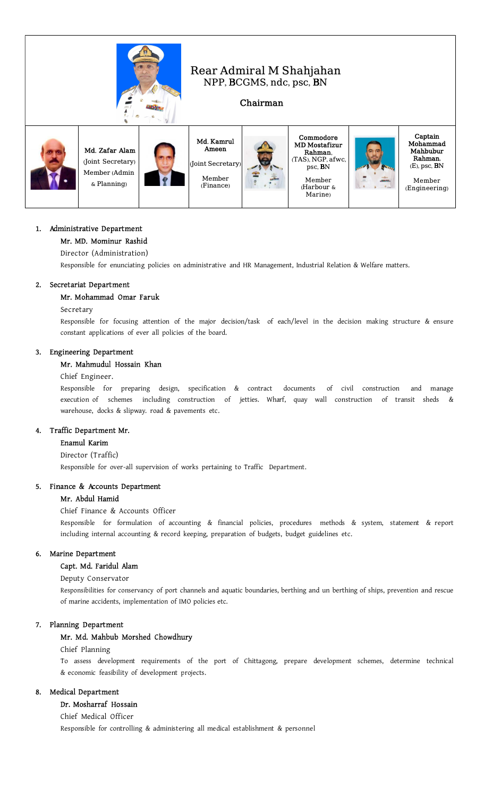

# Rear Admiral M Shahjahan NPP, BCGMS, ndc, psc, BN

## Chairman

Captain Mohammad Mahbubur Rahman, (E), psc, BN Member (Engineering)



## 1. Administrative Department

### Mr. MD. Mominur Rashid

Director (Administration)

Responsible for enunciating policies on administrative and HR Management, Industrial Relation & Welfare matters.

## 2. Secretariat Department

### Mr. Mohammad Omar Faruk

### Secretary

Responsible for focusing attention of the major decision/task of each/level in the decision making structure & ensure constant applications of ever all policies of the board.

## 3. Engineering Department

## Mr. Mahmudul Hossain Khan

### Chief Engineer.

Responsible for preparing design, specification & contract documents of civil construction and manage execution of schemes including construction of jetties. Wharf, quay wall construction of transit sheds & warehouse, docks & slipway. road & pavements etc.

### 4. Traffic Department Mr.

### Enamul Karim

Director (Traffic)

Responsible for over-all supervision of works pertaining to Traffic Department.

#### 5. Finance & Accounts Department

### Mr. Abdul Hamid

## Chief Finance & Accounts Officer

Responsible for formulation of accounting & financial policies, procedures methods & system, statement & report including internal accounting & record keeping, preparation of budgets, budget guidelines etc.

#### 6. Marine Department

### Capt. Md. Faridul Alam

Deputy Conservator

Responsibilities for conservancy of port channels and aquatic boundaries, berthing and un berthing of ships, prevention and rescue of marine accidents, implementation of IMO policies etc.

### 7. Planning Department

### Mr. Md. Mahbub Morshed Chowdhury

#### Chief Planning

To assess development requirements of the port of Chittagong, prepare development schemes, determine technical & economic feasibility of development projects.

### 8. Medical Department

## Dr. Mosharraf Hossain

Chief Medical Officer

Responsible for controlling & administering all medical establishment & personnel